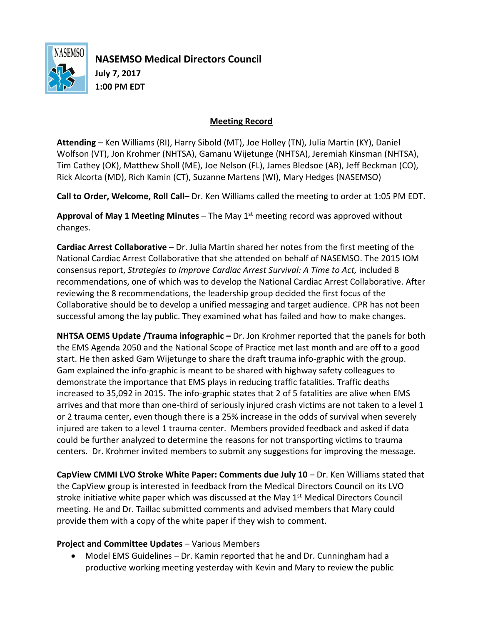

**NASEMSO Medical Directors Council July 7, 2017 1:00 PM EDT**

## **Meeting Record**

**Attending** – Ken Williams (RI), Harry Sibold (MT), Joe Holley (TN), Julia Martin (KY), Daniel Wolfson (VT), Jon Krohmer (NHTSA), Gamanu Wijetunge (NHTSA), Jeremiah Kinsman (NHTSA), Tim Cathey (OK), Matthew Sholl (ME), Joe Nelson (FL), James Bledsoe (AR), Jeff Beckman (CO), Rick Alcorta (MD), Rich Kamin (CT), Suzanne Martens (WI), Mary Hedges (NASEMSO)

**Call to Order, Welcome, Roll Call**– Dr. Ken Williams called the meeting to order at 1:05 PM EDT.

**Approval of May 1 Meeting Minutes** – The May 1<sup>st</sup> meeting record was approved without changes.

**Cardiac Arrest Collaborative** – Dr. Julia Martin shared her notes from the first meeting of the National Cardiac Arrest Collaborative that she attended on behalf of NASEMSO. The 2015 IOM consensus report, *Strategies to Improve Cardiac Arrest Survival: A Time to Act,* included 8 recommendations, one of which was to develop the National Cardiac Arrest Collaborative. After reviewing the 8 recommendations, the leadership group decided the first focus of the Collaborative should be to develop a unified messaging and target audience. CPR has not been successful among the lay public. They examined what has failed and how to make changes.

**NHTSA OEMS Update /Trauma infographic –** Dr. Jon Krohmer reported that the panels for both the EMS Agenda 2050 and the National Scope of Practice met last month and are off to a good start. He then asked Gam Wijetunge to share the draft trauma info-graphic with the group. Gam explained the info-graphic is meant to be shared with highway safety colleagues to demonstrate the importance that EMS plays in reducing traffic fatalities. Traffic deaths increased to 35,092 in 2015. The info-graphic states that 2 of 5 fatalities are alive when EMS arrives and that more than one-third of seriously injured crash victims are not taken to a level 1 or 2 trauma center, even though there is a 25% increase in the odds of survival when severely injured are taken to a level 1 trauma center. Members provided feedback and asked if data could be further analyzed to determine the reasons for not transporting victims to trauma centers. Dr. Krohmer invited members to submit any suggestions for improving the message.

**CapView CMMI LVO Stroke White Paper: Comments due July 10** – Dr. Ken Williams stated that the CapView group is interested in feedback from the Medical Directors Council on its LVO stroke initiative white paper which was discussed at the May  $1<sup>st</sup>$  Medical Directors Council meeting. He and Dr. Taillac submitted comments and advised members that Mary could provide them with a copy of the white paper if they wish to comment.

## **Project and Committee Updates** – Various Members

 Model EMS Guidelines – Dr. Kamin reported that he and Dr. Cunningham had a productive working meeting yesterday with Kevin and Mary to review the public